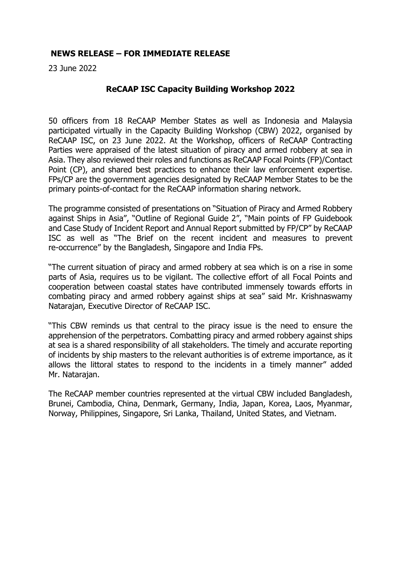## **NEWS RELEASE – FOR IMMEDIATE RELEASE**

23 June 2022

## **ReCAAP ISC Capacity Building Workshop 2022**

50 officers from 18 ReCAAP Member States as well as Indonesia and Malaysia participated virtually in the Capacity Building Workshop (CBW) 2022, organised by ReCAAP ISC, on 23 June 2022. At the Workshop, officers of ReCAAP Contracting Parties were appraised of the latest situation of piracy and armed robbery at sea in Asia. They also reviewed their roles and functions as ReCAAP Focal Points (FP)/Contact Point (CP), and shared best practices to enhance their law enforcement expertise. FPs/CP are the government agencies designated by ReCAAP Member States to be the primary points-of-contact for the ReCAAP information sharing network.

The programme consisted of presentations on "Situation of Piracy and Armed Robbery against Ships in Asia", "Outline of Regional Guide 2", "Main points of FP Guidebook and Case Study of Incident Report and Annual Report submitted by FP/CP" by ReCAAP ISC as well as "The Brief on the recent incident and measures to prevent re-occurrence" by the Bangladesh, Singapore and India FPs.

"The current situation of piracy and armed robbery at sea which is on a rise in some parts of Asia, requires us to be vigilant. The collective effort of all Focal Points and cooperation between coastal states have contributed immensely towards efforts in combating piracy and armed robbery against ships at sea" said Mr. Krishnaswamy Natarajan, Executive Director of ReCAAP ISC.

"This CBW reminds us that central to the piracy issue is the need to ensure the apprehension of the perpetrators. Combatting piracy and armed robbery against ships at sea is a shared responsibility of all stakeholders. The timely and accurate reporting of incidents by ship masters to the relevant authorities is of extreme importance, as it allows the littoral states to respond to the incidents in a timely manner" added Mr. Natarajan.

The ReCAAP member countries represented at the virtual CBW included Bangladesh, Brunei, Cambodia, China, Denmark, Germany, India, Japan, Korea, Laos, Myanmar, Norway, Philippines, Singapore, Sri Lanka, Thailand, United States, and Vietnam.